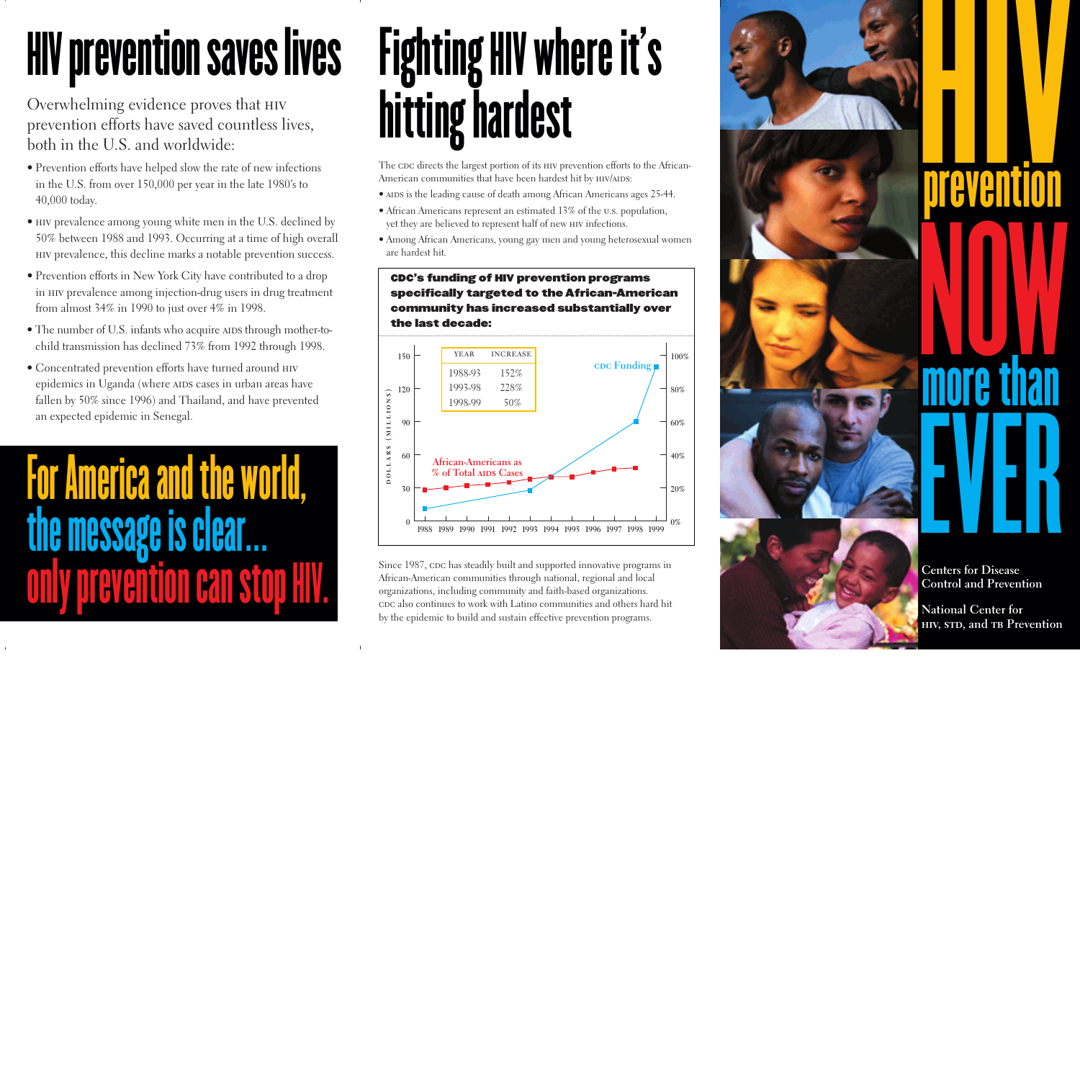## **HIV prevention saves lives**

Overwhelming evidence proves that hiv prevention efforts have saved countless lives, both in the U.S. and worldwide:

- Prevention efforts have helped slow the rate of new infections in the U.S. from over 150,000 per year in the late 1980's to 40,000 today.
- hiv prevalence among young white men in the U.S. declined by 50% between 1988 and 1993. Occurring at a time of high overall hiv prevalence, this decline marks a notable prevention success.
- Prevention efforts in New York City have contributed to a drop in hiv prevalence among injection-drug users in drug treatment from almost 34% in 1990 to just over 4% in 1998.
- The number of U.S. infants who acquire AIDS through mother-tochild transmission has declined 73% from 1992 through 1998.
- Concentrated prevention efforts have turned around hiv epidemics in Uganda (where AIDS cases in urban areas have fallen by 50% since 1996) and Thailand, and have prevented an expected epidemic in Senegal.

# For America and the world, the message is clear.

## Fighting HIVwhere it's hitting hardest

The cDC directs the largest portion of its HIV prevention efforts to the African-American communities that have been hardest hit by HIV/AIDS:

- AIDS is the leading cause of death among African Americans ages 25-44.
- African Americans represent an estimated 13% of the u.s. population, yet they are believed to represent half of new hiv infections.
- Among African Americans, young gay men and young heterosexual women are hardest hit.

#### CDC's funding of HIV prevention programs specifically targeted to the African-American community has increased substantially over the last decade:



Since 1987, cpc has steadily built and supported innovative programs in African-American communities through national, regional and local organizations, including community and faith-based organizations. cDC also continues to work with Latino communities and others hard hit by the epidemic to build and sustain effective prevention programs.

# HIV prevention NOW more than EVER

**Centers for Disease Control and Prevention**

**National Center for hiv, std, and tb Prevention**